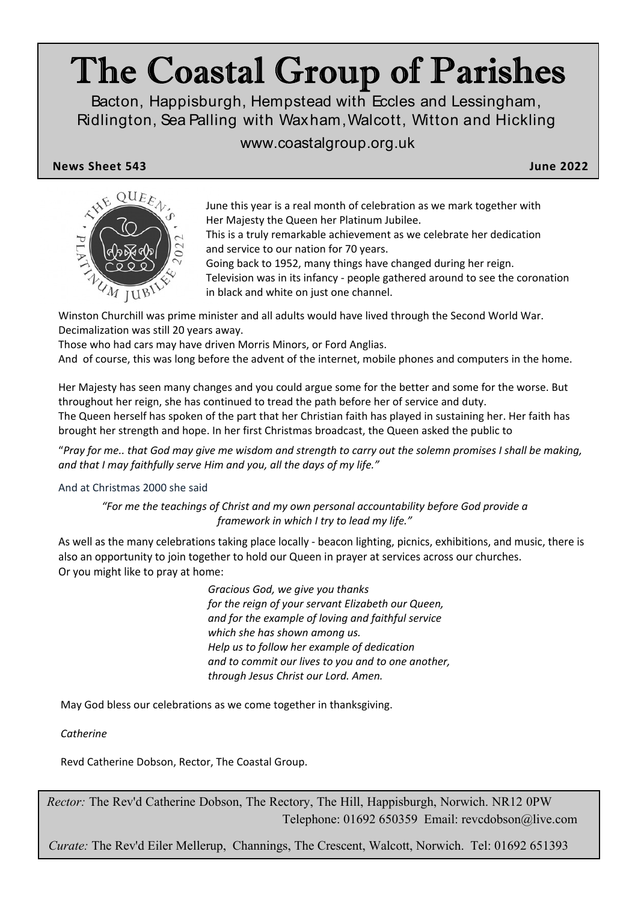# The Coastal Group of Parishes

Bacton, Happisburgh, Hempstead with Eccles and Lessingham, Ridlington, Sea Palling with Waxham,Walcott, Witton and Hickling

# www.coastalgroup.org.uk

**News Sheet 543 June 2022**



June this year is a real month of celebration as we mark together with Her Majesty the Queen her Platinum Jubilee.

This is a truly remarkable achievement as we celebrate her dedication and service to our nation for 70 years.

Going back to 1952, many things have changed during her reign. Television was in its infancy - people gathered around to see the coronation in black and white on just one channel.

Winston Churchill was prime minister and all adults would have lived through the Second World War. Decimalization was still 20 years away.

Those who had cars may have driven Morris Minors, or Ford Anglias.

And of course, this was long before the advent of the internet, mobile phones and computers in the home.

Her Majesty has seen many changes and you could argue some for the better and some for the worse. But throughout her reign, she has continued to tread the path before her of service and duty. The Queen herself has spoken of the part that her Christian faith has played in sustaining her. Her faith has brought her strength and hope. In her first Christmas broadcast, the Queen asked the public to

"*Pray for me.. that God may give me wisdom and strength to carry out the solemn promises I shall be making, and that I may faithfully serve Him and you, all the days of my life."*

And at Christmas 2000 she said

*"For me the teachings of Christ and my own personal accountability before God provide a framework in which I try to lead my life."*

As well as the many celebrations taking place locally - beacon lighting, picnics, exhibitions, and music, there is also an opportunity to join together to hold our Queen in prayer at services across our churches. Or you might like to pray at home:

> *Gracious God, we give you thanks for the reign of your servant Elizabeth our Queen, and for the example of loving and faithful service which she has shown among us. Help us to follow her example of dedication and to commit our lives to you and to one another, through Jesus Christ our Lord. Amen.*

May God bless our celebrations as we come together in thanksgiving.

*Catherine*

Revd Catherine Dobson, Rector, The Coastal Group.

*Rector:* The Rev'd Catherine Dobson, The Rectory, The Hill, Happisburgh, Norwich. NR12 0PW Telephone: 01692 650359 Email: revcdobson@live.com

*Curate:* The Rev'd Eiler Mellerup, Channings, The Crescent, Walcott, Norwich. Tel: 01692 651393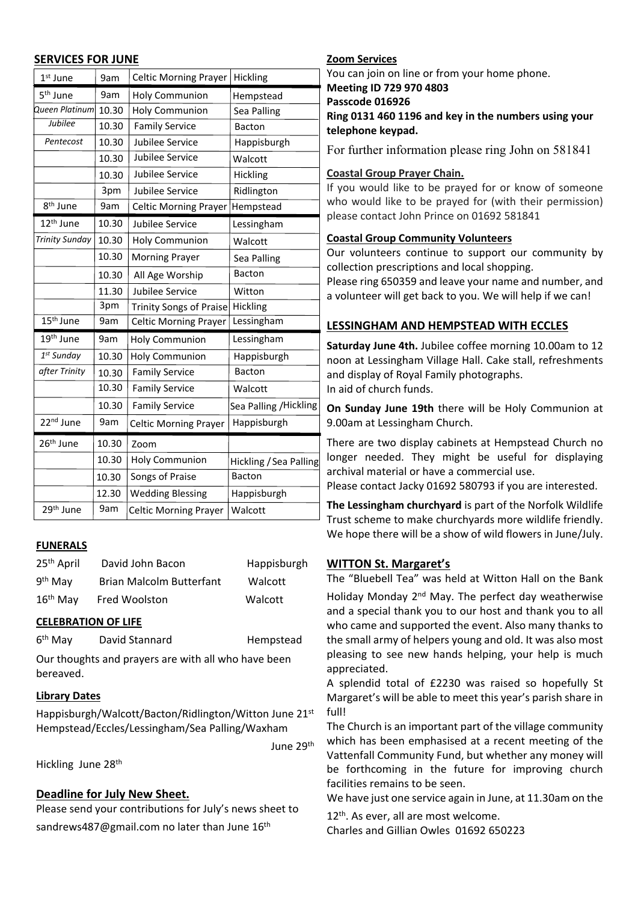#### **SERVICES FOR JUNE Zoom Services**

| $1st$ June             | 9am   | <b>Celtic Morning Prayer</b>   | Hickling               |
|------------------------|-------|--------------------------------|------------------------|
| 5 <sup>th</sup> June   | 9am   | <b>Holy Communion</b>          | Hempstead              |
| Queen Platinum         | 10.30 | <b>Holy Communion</b>          | Sea Palling            |
| Jubilee                | 10.30 | <b>Family Service</b>          | <b>Bacton</b>          |
| Pentecost              | 10.30 | Jubilee Service                | Happisburgh            |
|                        | 10.30 | Jubilee Service                | Walcott                |
|                        | 10.30 | Jubilee Service                | Hickling               |
|                        | 3pm   | Jubilee Service                | Ridlington             |
| 8 <sup>th</sup> June   | 9am   | <b>Celtic Morning Prayer</b>   | Hempstead              |
| 12 <sup>th</sup> June  | 10.30 | Jubilee Service                | Lessingham             |
| <b>Trinity Sunday</b>  | 10.30 | <b>Holy Communion</b>          | Walcott                |
|                        | 10.30 | <b>Morning Prayer</b>          | Sea Palling            |
|                        | 10.30 | All Age Worship                | <b>Bacton</b>          |
|                        | 11.30 | Jubilee Service                | Witton                 |
|                        | 3pm   | <b>Trinity Songs of Praise</b> | Hickling               |
| 15 <sup>th</sup> June  | 9am   | <b>Celtic Morning Prayer</b>   | Lessingham             |
| 19 <sup>th</sup> June  | 9am   | <b>Holy Communion</b>          | Lessingham             |
| 1 <sup>st</sup> Sunday | 10.30 | <b>Holy Communion</b>          | Happisburgh            |
| after Trinity          | 10.30 | <b>Family Service</b>          | <b>Bacton</b>          |
|                        | 10.30 | <b>Family Service</b>          | Walcott                |
|                        | 10.30 | <b>Family Service</b>          | Sea Palling / Hickling |
| 22 <sup>nd</sup> June  | 9am   | <b>Celtic Morning Prayer</b>   | Happisburgh            |
| 26 <sup>th</sup> June  | 10.30 | Zoom                           |                        |
|                        | 10.30 | <b>Holy Communion</b>          | Hickling / Sea Palling |
|                        | 10.30 | Songs of Praise                | <b>Bacton</b>          |
|                        | 12.30 | <b>Wedding Blessing</b>        | Happisburgh            |
| 29 <sup>th</sup> June  | 9am   | <b>Celtic Morning Prayer</b>   | Walcott                |

#### **FUNERALS**

| 25 <sup>th</sup> April | David John Bacon                | Happisburgh |
|------------------------|---------------------------------|-------------|
| 9 <sup>th</sup> May    | <b>Brian Malcolm Butterfant</b> | Walcott     |
| $16th$ May             | Fred Woolston                   | Walcott     |

#### **CELEBRATION OF LIFE**

| 6 <sup>th</sup> May | David Stannard | Hempstead |
|---------------------|----------------|-----------|
|                     |                |           |

Our thoughts and prayers are with all who have been bereaved.

# **Library Dates**

Happisburgh/Walcott/Bacton/Ridlington/Witton June 21st Hempstead/Eccles/Lessingham/Sea Palling/Waxham

June 29th

Hickling June 28<sup>th</sup>

# **Deadline for July New Sheet.**

Please send your contributions for July's news sheet to sandrews487@gmail.com no later than June 16<sup>th</sup>

You can join on line or from your home phone.

# **Meeting ID 729 970 4803**

**Passcode 016926**

### **Ring 0131 460 1196 and key in the numbers using your telephone keypad.**

For further information please ring John on 581841

# **Coastal Group Prayer Chain.**

If you would like to be prayed for or know of someone who would like to be prayed for (with their permission) please contact John Prince on 01692 581841

# **Coastal Group Community Volunteers**

Our volunteers continue to support our community by collection prescriptions and local shopping.

Please ring 650359 and leave your name and number, and a volunteer will get back to you. We will help if we can!

# **LESSINGHAM AND HEMPSTEAD WITH ECCLES**

**Saturday June 4th.** Jubilee coffee morning 10.00am to 12 noon at Lessingham Village Hall. Cake stall, refreshments and display of Royal Family photographs. In aid of church funds.

**On Sunday June 19th** there will be Holy Communion at 9.00am at Lessingham Church.

There are two display cabinets at Hempstead Church no longer needed. They might be useful for displaying archival material or have a commercial use.

Please contact Jacky 01692 580793 if you are interested.

**The Lessingham churchyard** is part of the Norfolk Wildlife Trust scheme to make churchyards more wildlife friendly. We hope there will be a show of wild flowers in June/July.

#### **WITTON St. Margaret's**

The "Bluebell Tea" was held at Witton Hall on the Bank

Holiday Monday 2nd May. The perfect day weatherwise and a special thank you to our host and thank you to all who came and supported the event. Also many thanks to the small army of helpers young and old. It was also most pleasing to see new hands helping, your help is much appreciated.

A splendid total of £2230 was raised so hopefully St Margaret's will be able to meet this year's parish share in full!

The Church is an important part of the village community which has been emphasised at a recent meeting of the Vattenfall Community Fund, but whether any money will be forthcoming in the future for improving church facilities remains to be seen.

We have just one service again in June, at 11.30am on the

12<sup>th</sup>. As ever, all are most welcome.

Charles and Gillian Owles 01692 650223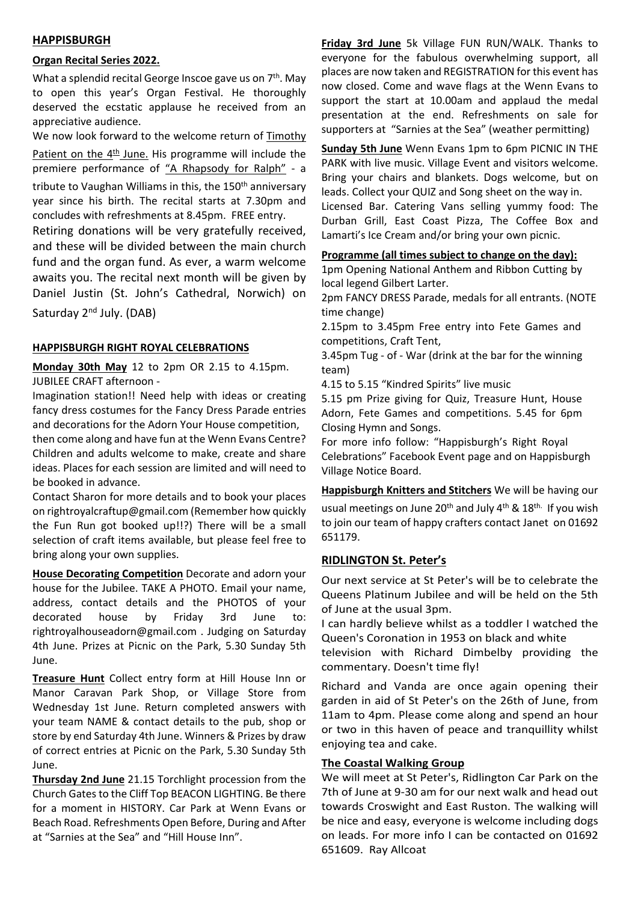#### **HAPPISBURGH**

#### **Organ Recital Series 2022.**

What a splendid recital George Inscoe gave us on 7<sup>th</sup>. May to open this year's Organ Festival. He thoroughly deserved the ecstatic applause he received from an appreciative audience.

We now look forward to the welcome return of Timothy

Patient on the  $4<sup>th</sup>$  June. His programme will include the premiere performance of "A Rhapsody for Ralph" - a tribute to Vaughan Williams in this, the 150<sup>th</sup> anniversary year since his birth. The recital starts at 7.30pm and concludes with refreshments at 8.45pm. FREE entry.

Retiring donations will be very gratefully received, and these will be divided between the main church fund and the organ fund. As ever, a warm welcome awaits you. The recital next month will be given by Daniel Justin (St. John's Cathedral, Norwich) on

Saturday 2<sup>nd</sup> July. (DAB)

#### **HAPPISBURGH RIGHT ROYAL CELEBRATIONS**

**Monday 30th May** 12 to 2pm OR 2.15 to 4.15pm. JUBILEE CRAFT afternoon -

Imagination station!! Need help with ideas or creating fancy dress costumes for the Fancy Dress Parade entries and decorations for the Adorn Your House competition,

then come along and have fun at the Wenn Evans Centre? Children and adults welcome to make, create and share ideas. Places for each session are limited and will need to be booked in advance.

Contact Sharon for more details and to book your places on rightroyalcraftup@gmail.com (Remember how quickly the Fun Run got booked up!!?) There will be a small selection of craft items available, but please feel free to bring along your own supplies.

**House Decorating Competition** Decorate and adorn your house for the Jubilee. TAKE A PHOTO. Email your name, address, contact details and the PHOTOS of your decorated house by Friday 3rd June to: rightroyalhouseadorn@gmail.com . Judging on Saturday 4th June. Prizes at Picnic on the Park, 5.30 Sunday 5th June.

**Treasure Hunt** Collect entry form at Hill House Inn or Manor Caravan Park Shop, or Village Store from Wednesday 1st June. Return completed answers with your team NAME & contact details to the pub, shop or store by end Saturday 4th June. Winners & Prizes by draw of correct entries at Picnic on the Park, 5.30 Sunday 5th June.

**Thursday 2nd June** 21.15 Torchlight procession from the Church Gates to the Cliff Top BEACON LIGHTING. Be there for a moment in HISTORY. Car Park at Wenn Evans or Beach Road. Refreshments Open Before, During and After at "Sarnies at the Sea" and "Hill House Inn".

**Friday 3rd June** 5k Village FUN RUN/WALK. Thanks to everyone for the fabulous overwhelming support, all places are now taken and REGISTRATION for this event has now closed. Come and wave flags at the Wenn Evans to support the start at 10.00am and applaud the medal presentation at the end. Refreshments on sale for supporters at "Sarnies at the Sea" (weather permitting)

**Sunday 5th June** Wenn Evans 1pm to 6pm PICNIC IN THE PARK with live music. Village Event and visitors welcome. Bring your chairs and blankets. Dogs welcome, but on leads. Collect your QUIZ and Song sheet on the way in.

Licensed Bar. Catering Vans selling yummy food: The Durban Grill, East Coast Pizza, The Coffee Box and Lamarti's Ice Cream and/or bring your own picnic.

#### **Programme (all times subject to change on the day):**

1pm Opening National Anthem and Ribbon Cutting by local legend Gilbert Larter.

2pm FANCY DRESS Parade, medals for all entrants. (NOTE time change)

2.15pm to 3.45pm Free entry into Fete Games and competitions, Craft Tent,

3.45pm Tug - of - War (drink at the bar for the winning team)

4.15 to 5.15 "Kindred Spirits" live music

5.15 pm Prize giving for Quiz, Treasure Hunt, House Adorn, Fete Games and competitions. 5.45 for 6pm Closing Hymn and Songs.

For more info follow: "Happisburgh's Right Royal Celebrations" Facebook Event page and on Happisburgh Village Notice Board.

**Happisburgh Knitters and Stitchers** We will be having our usual meetings on June 20<sup>th</sup> and July 4<sup>th</sup> & 18<sup>th.</sup> If you wish to join our team of happy crafters contact Janet on 01692 651179.

#### **RIDLINGTON St. Peter's**

Our next service at St Peter's will be to celebrate the Queens Platinum Jubilee and will be held on the 5th of June at the usual 3pm.

I can hardly believe whilst as a toddler I watched the Queen's Coronation in 1953 on black and white

television with Richard Dimbelby providing the commentary. Doesn't time fly!

Richard and Vanda are once again opening their garden in aid of St Peter's on the 26th of June, from 11am to 4pm. Please come along and spend an hour or two in this haven of peace and tranquillity whilst enjoying tea and cake.

#### **The Coastal Walking Group**

We will meet at St Peter's, Ridlington Car Park on the 7th of June at 9-30 am for our next walk and head out towards Croswight and East Ruston. The walking will be nice and easy, everyone is welcome including dogs on leads. For more info I can be contacted on 01692 651609. Ray Allcoat